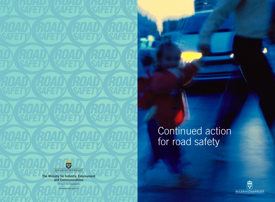# Continued action for road safety



**The Ministry for Industry, Employment and Communications** SE-103 33 Stockholm www.sweden.gov.se

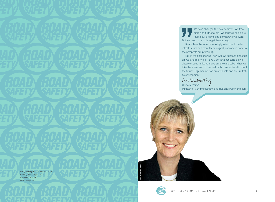

Roads have become increasingly safer due to better infrastructure and more technologically advanced cars, so the prospects are promising.

But in the final analysis, how well we succeed depends on you and me. We all have a personal responsibility to observe speed limits, to make sure we are sober when we take the wheel and to use seat belts. I am optimistic about the future. Together, we can create a safe and secure traffic environment.

Winca Messing Ulrica Messing Minister for Communications and Regional Policy, Sweden





**PHOTO: PAWEL FLATO**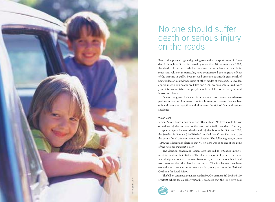

# No one should suffer death or serious injury on the roads

Road traffic plays a large and growing role in the transport system in Swe den. Although traffic has increased by more than 10 per cent since 1997, the death toll on our roads has remained more or less constant. Safer roads and vehicles, in particular, have counteracted the negative effects of the increase in traffic. Even so, road users are at a much greater risk of being killed or injured than users of other modes of transport. In Sweden approximately 500 people are killed and 4 000 are seriously injured every year. It is unacceptable that people should be killed or seriously injured in road accidents.

One of the great challenges facing society is to create a well-develo ped, extensive and long-term sustainable transport system that enables safe and secure accessibility and eliminates the risk of fatal and serious accidents.

#### **Vision Zero**

Vision Zero is based upon taking an ethical stand. No lives should be lost or serious injuries suffered as the result of a traffic accident. The only acceptable figure for road deaths and injuries is zero. In October 1997, the Swedish Parliament (the Riksdag) decided that Vision Zero was to be the basis of road safety initiatives in Sweden. The following year, in June 1998, the Riksdag also decided that Vision Zero was to be one of the goals of the national transport policy.

The decision concerning Vision Zero has led to extensive involve ment in road safety initiatives. The shared responsibility between those who design and operate the road transport system on the one hand, and road users on the other, has had an impact. This involvement has been strengthened through commitments made by many actors in the National Coalition for Road Safety.

The bill on continued action for road safety, Government Bill 2003/04:160 (Fortsatt arbete för en säker vägtrafik), proposes that the long-term goal

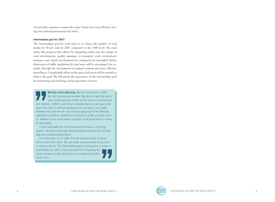of road safety initiatives remain the same. Vision Zero is an effective strategy for achieving increased road safety.

#### **Intermediate goal for 2007**

The intermediate goal for road safety is to reduce the number of road deaths by 50 per cent by 2007 compared to the 1996 level. The road safety bill proposes that efforts for integrating safety into the design of road environments, quality assurance in transport, work environment measures and vehicle development be continued and intensified. Better observance of traffic regulations by road users will be encouraged, for example, through the development of support systems and more effective surveillance. Considerable effort on the part of all actors will be needed to achieve the goal. The bill asserts the importance of the intermediate goal for motivating and involving a broad spectrum of actors.

**Example 10 '** We ride bicycles and we walk. We drive or take the bus work, to the day care centre, to the store or to visit frier and relatives. Traffic is part of our everyday lives and we have to lable to be out in it We ride bicycles and we walk. We drive or take the bus to work, to the day care centre, to the store or to visit friends and relatives. Traffic is part of our everyday lives and we have to be able to be out in it without needing to risk our lives or our health. Between four and five per cent of every age group of the Swedish population is killed or disabled as a result of a traffic accident. Even so, Sweden is one of the safest countries in the world when it comes to road safety.

In the road safety bill, the Government focuses on reducing speeds, working to eliminate alcohol-related accidents and stimulating technological development.

It is important, in our view, that the long-term goal of Vision Zero remains the same. We can never accept people being killed in road accidents. The intermediate goal of halving the number of road deaths by 2007 is also important for motivating the actors involved to take the measures needed to achieve Vision Zero.

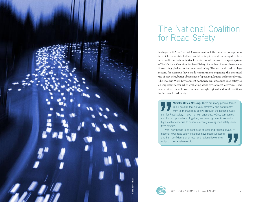

# The National Coalition for Road Safety

In August 2002 the Swedish Government took the initiative for a process in which traffic stakeholders would be inspired and encouraged to better coordinate their activities for safer use of the road transport system – The National Coalition for Road Safety. A number of actors have made far-reaching pledges to improve road safety. The taxi and road haulage sectors, for example, have made commitments regarding the increased use of seat belts, better observance of speed regulations and sober driving. The Swedish Work Environment Authority will introduce road safety as an important factor when evaluating work environment activities. Road safety initiatives will now continue through regional and local coalitions for increased road safety.

**17 Minister Ulrica Messing:** There are many positive forces<br>in our country that actively, devotedly and persistently<br>work to improve road safety. Through the National Coali-<br>tion for Road Safety, I have met with agencies, in our country that actively, devotedly and persistently work to improve road safety. Through the National Coalition for Road Safety, I have met with agencies, NGOs, companies and trade organisations. Together, we have high ambitions and a high level of expertise to continue actively moving road safety initiatives forward.

Work now needs to be continued at local and regional levels. At national level, road safety initiatives have been successful and I am confident that at local and regional levels they will produce valuable results.

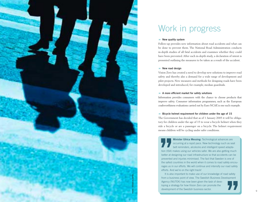

# Work in progress

#### $\blacktriangleright$  New quality system

Follow-up provides new information about road accidents and what can be done to prevent them. The National Road Administration conducts in-depth studies of all fatal accidents and examines whether they could have been prevented. After each in-depth study, a declaration of intent is presented outlining the measures to be taken as a result of the accident.

#### $\rightarrow$  New road design

Vision Zero has created a need to develop new solutions to improve road safety and thereby also a demand for a wide range of development and pilot projects. New measures and methods for designing roads have been developed and introduced, for example, median guardrails.

#### 8 **A more efficient market for safety solutions**

Information provides consumers with the chance to choose products that improve safety. Consumer information programmes, such as the European crashworthiness evaluations carried out by Euro NCAP, is one such example.

#### **Bicycle helmet requirement for children under the age of 15**

The Government has decided that as of 1 January 2005 it will be obliga tory for children under the age of 15 to wear a bicycle helmet when they ride a bicycle or are a passenger on a bicycle. The helmet requirement means children will be cycling under safer conditions.

**Example 2011 Minister Ulrica Messing:** Technological advances are occurring at a rapid pace. New technology such as see belt reminders, alcolocks and intelligent speed adapta tion (ISA) makes using our vehicles safer. We occurring at a rapid pace. New technology such as seat belt reminders, alcolocks and intelligent speed adapta tion (ISA) makes using our vehicles safer. We are also getting much better at designing our road infrastructure so that accidents can be prevented and injuries minimised. The fact that Sweden is one of the safest countries in the world when it comes to road safety encou rages us in our efforts. We will continue and intensify our road safety efforts. And we're on the right track!

It is also important to make use of our knowledge of road safety from a business point of view. The Swedish Business Development Agency (NUTEK) has now been given the task of deve loping a strategy for how Vision Zero can promote the development of the Swedish business sector.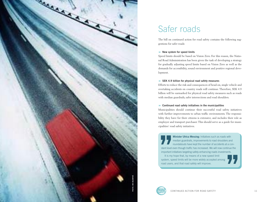

# Safer roads

The bill on continued action for road safety contains the following sug gestions for safer roads:

### $\rightarrow$  New system for speed limits

Speed limits should be based on Vision Zero. For this reason, the Natio nal Road Administration has been given the task of developing a strategy for gradually adjusting speed limits based on Vision Zero as well as the demands for accessibility, sound environment and positive regional deve lopment.

### 8 **SEK 4.9 billion for physical road safety measures**

Efforts to reduce the risk and consequences of head-on, single vehicle and overtaking accidents on country roads will continue. Therefore, SEK 4.9 billion will be earmarked for physical road safety measures such as roads with median guardrails, safer intersections and road shoulders.

### 8 **Continued road safety initiatives in the municipalities**

Municipalities should continue their successful road safety initiatives with further improvements to urban traffic environments. The responsi bility they have for their citizens is extensive, and includes their role as employer and transport purchaser. This should serve as a guide for muni cipalities' road safety initiatives.

**Example 12 Minister Ulrica Messing:** Initiatives such as roads with median guardrails, improvements to road shoulders an roundabouts have kept the number of accidents at a costant level even though traffic has increased. median guardrails, improvements to road shoulders and roundabouts have kept the number of accidents at a con stant level even though traffic has increased. We will now continue the important initiatives targeting safety-enhancing roads investments.

It is my hope that, by means of a new speed limit system, speed limits will be more widely accepted among road users, and that road safety will improve.

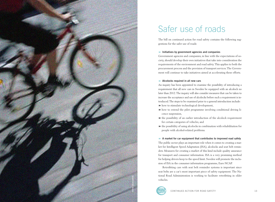

# Safer use of roads

The bill on continued action for road safety contains the following suggestions for the safer use of roads:

#### 8 **Initiatives by government agencies and companies**

Government agencies and companies, in line with the expectations of society, should develop their own initiatives that take into consideration the requirements of the environment and road safety. This applies to both the procurement process and the provision of transport services. The Government will continue to take initiatives aimed at accelerating these efforts.

#### $\rightarrow$  Alcolocks required in all new cars

An inquiry has been appointed to examine the possibility of introducing a requirement that all new cars in Sweden be equipped with an alcolock no later than 2012. The inquiry will also consider measures that can be taken to increase the acceptance and use of alcolocks before such a requirement is introduced. The steps to be examined prior to a general introduction include:  $\rightarrow$  how to stimulate technological development,

- 8 how to extend the pilot programme involving conditional driving licence suspension,
- 8 the possibility of an earlier introduction of the alcolock requirement for certain categories of vehicles, and
- $\blacktriangleright$  the possibility of using alcolocks in combination with rehabilitation for people with alcohol-related problems.

8 **A market for car equipment that contributes to improved road safety** The public sector plays an important role when it comes to creating a market for Intelligent Speed Adaptation (ISA), alcolocks and seat belt reminders. Measures for creating a market of this kind include quality assurance for transport and consumer information. ISA is a very promising method for helping drivers keep to the speed limit. Sweden will promote the inclusion of ISA in the consumer information programme, Euro NCAP.

Retrofitting cars with seat belt reminder systems is important since seat belts are a car's most important piece of safety equipment. The National Road Administration is working to facilitate retrofitting in older vehicles.

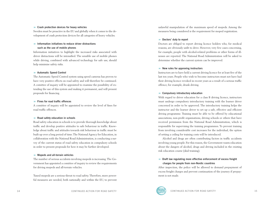#### **B** Crash protection devices for heavy vehicles

Sweden must be proactive in the EU and globally when it comes to the development of crash protection devices for all categories of heavy vehicles.

### 8 **Information initiatives to reduce driver distractions such as the use of mobile phones**

Information initiatives to highlight the increased risks associated with driver distractions will be intensified. The sensible use of mobile phones while driving, combined with advanced technology for safe use, should help minimise safety risks.

#### $\rightarrow$  **Automatic Speed Control**

The Automatic Speed Control system using speed cameras has proven to have very positive effects on road safety and will therefore be continued. A comittee of inquiry will be appointed to examine the possibility of extending the use of this system and making it permanent, and will present proposals for financing.

#### 8 **Fines for road traffic offences**

A comittee of inquiry will be appointed to review the level of fines for road traffic offences.

#### $\blacktriangleright$  **Road safety education in schools**

Road safety education in schools is to provide thorough knowledge about traffic and develop positive attitudes to safe behaviour in traffic. Knowledge about traffic and attitudes towards risk behaviour in traffic must be built up over a long period of time. The National Agency for Education, in collaboration with the National Road Administration, is conducting a survey of the current status of road safety education in compulsory schools in order to present proposals for how it may be further developed.

### 8 **Mopeds and all-terrain vehicles**

The number of serious accidents involving mopeds is increasing. The Government has appointed a comittee of inquiry to review the requirements for driving mopeds and all-terrain vehicles.

Tuned mopeds are a serious threat to road safety. Therefore, more powerful measures are needed, both nationally and within the EU, to prevent unlawful manipulation of the maximum speed of mopeds. Among the measures being considered is the requirement for moped registration.

#### **B** Doctors' duty to report

Doctors are obliged to report driving licence holders who, for medical reasons, are obviously unfit to drive. However, very few cases concerning, for example, people with alcohol-related problems or other forms of illnesses are reported. The National Road Administration will be asked to determine whether the current system can be improved.

#### 8 **New rules for approving instructors**

Instructors are to have held a current driving licence for at least five of the last ten years. People who wish to become instructors must not have had their driving licence revoked in recent years as a result of a serious traffic offence, for example, drunk driving.

#### 8 **Compulsory introductory education**

With regard to driver education for a class B driving licence, instructors must undergo compulsory introductory training with the learner driver concerned in order to be approved. The introductory training helps the instructor and the learner driver to set up a safe, effective and efficient driving programme. Training must be able to be offered by educational associations, non-profit organisations, driving schools or others that have received permission from the National Road Administration, which is responsible for supervising the training programmes. To prevent training from involving considerable cost increases for the individual, the option of setting a ceiling for training costs will be introduced.

Alcohol and drugs are often contributing factors in traffic accidents involving young people. For this reason, the Government wants education about the dangers of alcohol, drugs and driving included in the existing risk education course (skid training).

## $\triangleright$  Draft law regulating more effective enforcement of excess freight **charges for people from non-Nordic countries**

After inspection, the police will be allowed to demand prepayment of excess freight charges and prevent continuation of the journey if prepayment is not made.